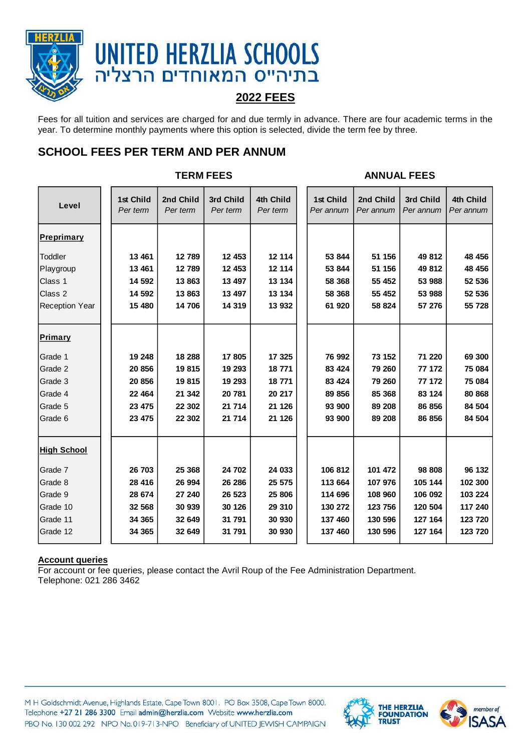

# **UNITED HERZLIA SCHOOLS** בתיהייס המאוחדים הרצליה

# **2022 FEES**

Fees for all tuition and services are charged for and due termly in advance. There are four academic terms in the year. To determine monthly payments where this option is selected, divide the term fee by three.

# **SCHOOL FEES PER TERM AND PER ANNUM**

|                       | <b>TERM FEES</b>      |                       |                       |                       |  | <b>ANNUAL FEES</b>     |                        |                        |                        |  |
|-----------------------|-----------------------|-----------------------|-----------------------|-----------------------|--|------------------------|------------------------|------------------------|------------------------|--|
| Level                 | 1st Child<br>Per term | 2nd Child<br>Per term | 3rd Child<br>Per term | 4th Child<br>Per term |  | 1st Child<br>Per annum | 2nd Child<br>Per annum | 3rd Child<br>Per annum | 4th Child<br>Per annum |  |
| <b>Preprimary</b>     |                       |                       |                       |                       |  |                        |                        |                        |                        |  |
| Toddler               | 13 461                | 12789                 | 12 453                | 12 114                |  | 53 844                 | 51 156                 | 49 812                 | 48 456                 |  |
| Playgroup             | 13 4 61               | 12 789                | 12 453                | 12 114                |  | 53 844                 | 51 156                 | 49 812                 | 48 456                 |  |
| Class 1               | 14 592                | 13863                 | 13 497                | 13 134                |  | 58 368                 | 55 452                 | 53 988                 | 52 536                 |  |
| Class 2               | 14 592                | 13863                 | 13 497                | 13 134                |  | 58 368                 | 55 452                 | 53 988                 | 52 536                 |  |
| <b>Reception Year</b> | 15 480                | 14 706                | 14 3 19               | 13 932                |  | 61 920                 | 58 824                 | 57 276                 | 55 728                 |  |
| <b>Primary</b>        |                       |                       |                       |                       |  |                        |                        |                        |                        |  |
| Grade 1               | 19 248                | 18 288                | 17805                 | 17 325                |  | 76 992                 | 73 152                 | 71 220                 | 69 300                 |  |
| Grade 2               | 20 856                | 19815                 | 19 293                | 18771                 |  | 83 4 24                | 79 260                 | 77 172                 | 75 084                 |  |
| Grade 3               | 20 856                | 19815                 | 19 293                | 18771                 |  | 83 4 24                | 79 260                 | 77 172                 | 75 084                 |  |
| Grade 4               | 22 4 64               | 21 342                | 20781                 | 20 217                |  | 89 856                 | 85 368                 | 83 124                 | 80 868                 |  |
| Grade 5               | 23 4 75               | 22 302                | 21 714                | 21 1 26               |  | 93 900                 | 89 208                 | 86 856                 | 84 504                 |  |
| Grade 6               | 23 475                | 22 302                | 21 714                | 21 1 26               |  | 93 900                 | 89 208                 | 86 856                 | 84 504                 |  |
| <b>High School</b>    |                       |                       |                       |                       |  |                        |                        |                        |                        |  |
| Grade 7               | 26 703                | 25 3 68               | 24 702                | 24 033                |  | 106 812                | 101 472                | 98 808                 | 96 132                 |  |
| Grade 8               | 28 416                | 26 994                | 26 28 6               | 25 575                |  | 113 664                | 107 976                | 105 144                | 102 300                |  |
| Grade 9               | 28 674                | 27 240                | 26 5 23               | 25 806                |  | 114 696                | 108 960                | 106 092                | 103 224                |  |
| Grade 10              | 32 568                | 30 939                | 30 126                | 29 310                |  | 130 272                | 123 756                | 120 504                | 117 240                |  |
| Grade 11              | 34 365                | 32 649                | 31 791                | 30 930                |  | 137 460                | 130 596                | 127 164                | 123 720                |  |
| Grade 12              | 34 365                | 32 649                | 31 791                | 30 930                |  | 137 460                | 130 596                | 127 164                | 123 720                |  |

### **Account queries**

For account or fee queries, please contact the Avril Roup of the Fee Administration Department. Telephone: 021 286 3462

M H Goldschmidt Avenue, Highlands Estate, Cape Town 8001. PO Box 3508, Cape Town 8000. Telephone +27 21 286 3300 Email admin@herzlia.com Website www.herzlia.com PBO No. 130 002 292 NPO No. 019-713-NPO Beneficiary of UNITED JEWISH CAMPAIGN